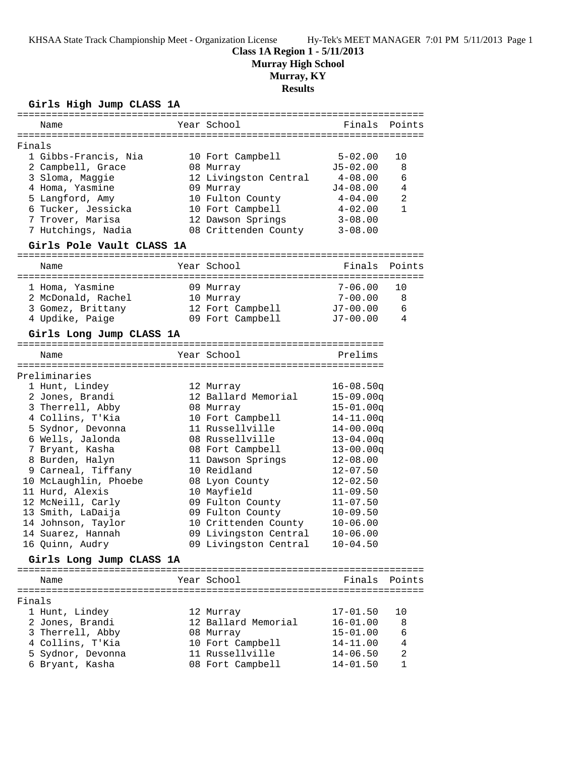**Class 1A Region 1 - 5/11/2013**

**Murray High School**

**Murray, KY**

**Results**

### **Girls High Jump CLASS 1A**

|        | Name                      | Year School           | Finals        | Points         |
|--------|---------------------------|-----------------------|---------------|----------------|
|        |                           |                       |               |                |
| Finals |                           |                       |               |                |
|        | 1 Gibbs-Francis, Nia      | 10 Fort Campbell      | $5 - 02.00$   | 10             |
|        | 2 Campbell, Grace         | 08 Murray             | $J5 - 02.00$  | 8              |
|        | 3 Sloma, Maggie           | 12 Livingston Central | $4 - 08.00$   | 6              |
|        | 4 Homa, Yasmine           | 09 Murray             | $J4 - 08.00$  | 4              |
|        | 5 Langford, Amy           | 10 Fulton County      | $4 - 04.00$   | $\overline{a}$ |
|        | 6 Tucker, Jessicka        | 10 Fort Campbell      | $4 - 02.00$   | $\mathbf{1}$   |
|        | 7 Trover, Marisa          | 12 Dawson Springs     | $3 - 08.00$   |                |
|        |                           |                       |               |                |
|        | 7 Hutchings, Nadia        | 08 Crittenden County  | $3 - 08.00$   |                |
|        | Girls Pole Vault CLASS 1A |                       |               |                |
|        | Name                      | Year School           | Finals        | Points         |
|        |                           |                       |               |                |
|        |                           |                       | $7 - 06.00$   | 10             |
|        | 1 Homa, Yasmine           | 09 Murray             |               |                |
|        | 2 McDonald, Rachel        | 10 Murray             | $7 - 00.00$   | 8              |
|        | 3 Gomez, Brittany         | 12 Fort Campbell      | $J7 - 00.00$  | 6              |
|        | 4 Updike, Paige           | 09 Fort Campbell      | $J7 - 00.00$  | 4              |
|        | Girls Long Jump CLASS 1A  |                       |               |                |
|        |                           |                       |               |                |
|        | Name                      | Year School           | Prelims       |                |
|        |                           |                       |               |                |
|        | Preliminaries             |                       |               |                |
|        | 1 Hunt, Lindey            | 12 Murray             | $16 - 08.50q$ |                |
|        | 2 Jones, Brandi           | 12 Ballard Memorial   | $15 - 09.00q$ |                |
|        | 3 Therrell, Abby          | 08 Murray             | $15 - 01.00q$ |                |
|        | 4 Collins, T'Kia          | 10 Fort Campbell      | $14 - 11.00q$ |                |
|        | 5 Sydnor, Devonna         | 11 Russellville       | $14 - 00.00q$ |                |
|        | 6 Wells, Jalonda          | 08 Russellville       | $13 - 04.00q$ |                |
|        | 7 Bryant, Kasha           | 08 Fort Campbell      | $13 - 00.00q$ |                |
|        | 8 Burden, Halyn           | 11 Dawson Springs     | $12 - 08.00$  |                |
|        | 9 Carneal, Tiffany        | 10 Reidland           | $12 - 07.50$  |                |
|        | 10 McLaughlin, Phoebe     | 08 Lyon County        | $12 - 02.50$  |                |
|        | 11 Hurd, Alexis           | 10 Mayfield           | $11 - 09.50$  |                |
|        | 12 McNeill, Carly         | 09 Fulton County      | $11 - 07.50$  |                |
|        | 13 Smith, LaDaija         | 09 Fulton County      | $10 - 09.50$  |                |
|        | 14 Johnson, Taylor        | 10 Crittenden County  | $10 - 06.00$  |                |
|        | 14 Suarez, Hannah         | 09 Livingston Central | $10 - 06.00$  |                |
|        |                           |                       |               |                |
|        | 16 Quinn, Audry           | 09 Livingston Central | $10 - 04.50$  |                |
|        | Girls Long Jump CLASS 1A  |                       |               |                |
|        | Name                      | Year School           | Finals        | Points         |
|        |                           |                       |               |                |
| Finals |                           |                       |               |                |
|        | 1 Hunt, Lindey            | 12 Murray             | $17 - 01.50$  | 10             |
|        | 2 Jones, Brandi           | 12 Ballard Memorial   | $16 - 01.00$  | 8              |
|        | 3 Therrell, Abby          | 08 Murray             | $15 - 01.00$  | 6              |
|        | 4 Collins, T'Kia          | 10 Fort Campbell      | $14 - 11.00$  | $\overline{4}$ |
|        | 5 Sydnor, Devonna         | 11 Russellville       | $14 - 06.50$  | $\overline{a}$ |
|        | 6 Bryant, Kasha           | 08 Fort Campbell      | $14 - 01.50$  | $\mathbf{1}$   |
|        |                           |                       |               |                |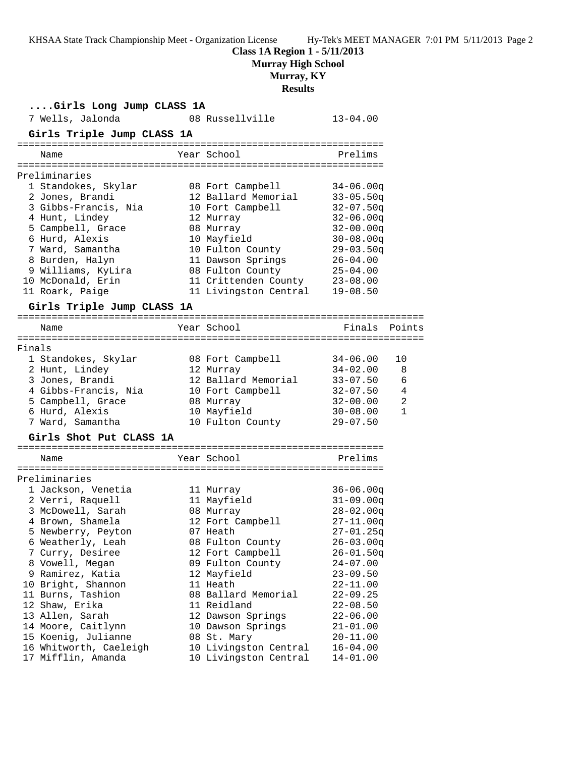## **Class 1A Region 1 - 5/11/2013**

**Murray High School**

# **Murray, KY**

**Results**

|        | Girls Long Jump CLASS 1A                     |                                      |                              |              |
|--------|----------------------------------------------|--------------------------------------|------------------------------|--------------|
|        | 7 Wells, Jalonda                             | 08 Russellville                      | $13 - 04.00$                 |              |
|        | Girls Triple Jump CLASS 1A                   |                                      |                              |              |
|        | Name                                         | Year School                          | Prelims                      |              |
|        |                                              |                                      |                              |              |
|        | Preliminaries                                |                                      |                              |              |
|        | 1 Standokes, Skylar                          | 08 Fort Campbell                     | $34 - 06.00q$                |              |
|        | 2 Jones, Brandi                              | 12 Ballard Memorial                  | $33 - 05.50q$                |              |
|        | 3 Gibbs-Francis, Nia                         | 10 Fort Campbell                     | $32 - 07.50q$                |              |
|        | 4 Hunt, Lindey                               | 12 Murray                            | $32 - 06.00q$                |              |
|        | 5 Campbell, Grace                            | 08 Murray                            | $32 - 00.00q$                |              |
|        | 6 Hurd, Alexis                               | 10 Mayfield                          | $30 - 08.00q$                |              |
|        | 7 Ward, Samantha                             | 10 Fulton County                     | $29 - 03.50q$                |              |
|        | 8 Burden, Halyn                              | 11 Dawson Springs                    | $26 - 04.00$                 |              |
|        | 9 Williams, KyLira                           | 08 Fulton County                     | $25 - 04.00$                 |              |
|        | 10 McDonald, Erin                            | 11 Crittenden County                 | $23 - 08.00$                 |              |
|        | 11 Roark, Paige                              | 11 Livingston Central                | $19 - 08.50$                 |              |
|        | Girls Triple Jump CLASS 1A                   |                                      |                              |              |
|        | Name                                         | Year School                          | Finals                       | Points       |
|        |                                              |                                      |                              |              |
| Finals |                                              |                                      |                              |              |
|        | 1 Standokes, Skylar                          | 08 Fort Campbell                     | $34 - 06.00$                 | 10           |
|        | 2 Hunt, Lindey                               | 12 Murray                            | $34 - 02.00$                 | 8            |
|        | 3 Jones, Brandi                              | 12 Ballard Memorial                  | $33 - 07.50$                 | 6            |
|        | 4 Gibbs-Francis, Nia                         | 10 Fort Campbell                     | $32 - 07.50$<br>$32 - 00.00$ | 4<br>2       |
|        | 5 Campbell, Grace<br>6 Hurd, Alexis          | 08 Murray<br>10 Mayfield             | $30 - 08.00$                 | $\mathbf{1}$ |
|        | 7 Ward, Samantha                             | 10 Fulton County                     | $29 - 07.50$                 |              |
|        |                                              |                                      |                              |              |
|        | Girls Shot Put CLASS 1A                      |                                      |                              |              |
|        | Name                                         | Year School                          | Prelims                      |              |
|        | Preliminaries                                |                                      |                              |              |
|        | 1 Jackson, Venetia                           | 11 Murray                            | $36 - 06.00q$                |              |
|        | 2 Verri, Raquell                             | 11 Mayfield                          | $31 - 09.00q$                |              |
|        | 3 McDowell, Sarah                            | 08 Murray                            | $28 - 02.00q$                |              |
|        | 4 Brown, Shamela                             | 12 Fort Campbell                     | $27 - 11.00q$                |              |
|        | 5 Newberry, Peyton                           | 07 Heath                             | $27 - 01.25q$                |              |
|        | 6 Weatherly, Leah                            | 08 Fulton County                     | $26 - 03.00q$                |              |
|        | 7 Curry, Desiree                             | 12 Fort Campbell                     | $26 - 01.50q$                |              |
|        | 8 Vowell, Megan                              | 09 Fulton County                     | $24 - 07.00$                 |              |
|        | 9 Ramirez, Katia                             | 12 Mayfield                          | $23 - 09.50$                 |              |
|        | 10 Bright, Shannon                           | 11 Heath                             | $22 - 11.00$                 |              |
|        | 11 Burns, Tashion                            | 08 Ballard Memorial                  | $22 - 09.25$                 |              |
|        | 12 Shaw, Erika                               | 11 Reidland                          | $22 - 08.50$                 |              |
|        | 13 Allen, Sarah                              | 12 Dawson Springs                    | $22 - 06.00$                 |              |
|        | 14 Moore, Caitlynn                           | 10 Dawson Springs                    | $21 - 01.00$                 |              |
|        | 15 Koenig, Julianne                          | 08 St. Mary<br>10 Livingston Central | $20 - 11.00$                 |              |
|        | 16 Whitworth, Caeleigh<br>17 Mifflin, Amanda | 10 Livingston Central                | $16 - 04.00$<br>$14 - 01.00$ |              |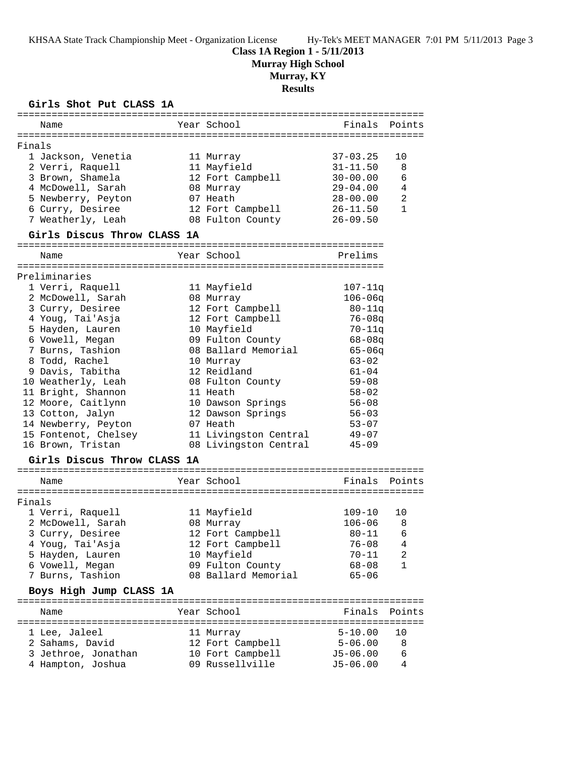**Class 1A Region 1 - 5/11/2013**

**Murray High School**

**Murray, KY**

**Results**

### **Girls Shot Put CLASS 1A**

|                             | Name                        |  | Year School           | Finals Points |                |
|-----------------------------|-----------------------------|--|-----------------------|---------------|----------------|
| Finals                      |                             |  |                       |               |                |
|                             | 1 Jackson, Venetia          |  | 11 Murray             | $37 - 03.25$  | 10             |
|                             | 2 Verri, Raquell            |  | 11 Mayfield           | $31 - 11.50$  | 8              |
|                             | 3 Brown, Shamela            |  | 12 Fort Campbell      | $30 - 00.00$  | 6              |
|                             | 4 McDowell, Sarah           |  | 08 Murray             | $29 - 04.00$  | 4              |
|                             | 5 Newberry, Peyton          |  | 07 Heath              | $28 - 00.00$  | $\overline{2}$ |
|                             | 6 Curry, Desiree            |  | 12 Fort Campbell      | $26 - 11.50$  | $\mathbf{1}$   |
|                             | 7 Weatherly, Leah           |  | 08 Fulton County      | $26 - 09.50$  |                |
| Girls Discus Throw CLASS 1A |                             |  |                       |               |                |
|                             |                             |  | Year School           | Prelims       |                |
|                             | Name                        |  |                       |               |                |
|                             | Preliminaries               |  |                       |               |                |
|                             | 1 Verri, Raquell            |  | 11 Mayfield           | $107 - 11q$   |                |
|                             | 2 McDowell, Sarah           |  | 08 Murray             | $106 - 06q$   |                |
|                             | 3 Curry, Desiree            |  | 12 Fort Campbell      | $80 - 11q$    |                |
|                             | 4 Youg, Tai'Asja            |  | 12 Fort Campbell      | $76 - 08q$    |                |
|                             | 5 Hayden, Lauren            |  | 10 Mayfield           | $70 - 11q$    |                |
|                             | 6 Vowell, Megan             |  | 09 Fulton County      | $68 - 08q$    |                |
|                             | 7 Burns, Tashion            |  | 08 Ballard Memorial   | $65 - 06q$    |                |
|                             | 8 Todd, Rachel              |  | 10 Murray             | $63 - 02$     |                |
|                             | 9 Davis, Tabitha            |  | 12 Reidland           | $61 - 04$     |                |
|                             | 10 Weatherly, Leah          |  | 08 Fulton County      | $59 - 08$     |                |
|                             | 11 Bright, Shannon          |  | 11 Heath              | $58 - 02$     |                |
|                             | 12 Moore, Caitlynn          |  | 10 Dawson Springs     | $56 - 08$     |                |
|                             | 13 Cotton, Jalyn            |  | 12 Dawson Springs     | $56 - 03$     |                |
|                             | 14 Newberry, Peyton         |  | 07 Heath              | $53 - 07$     |                |
|                             | 15 Fontenot, Chelsey        |  | 11 Livingston Central | $49 - 07$     |                |
|                             | 16 Brown, Tristan           |  | 08 Livingston Central | $45 - 09$     |                |
|                             | Girls Discus Throw CLASS 1A |  |                       |               |                |
|                             | Name                        |  | Year School           | Finals Points |                |
|                             |                             |  |                       |               |                |
| Finals                      |                             |  |                       |               |                |
|                             | 1 Verri, Raquell            |  | 11 Mayfield           | 109-10        | 10             |
|                             | 2 McDowell, Sarah           |  | 08 Murray             | $106 - 06$    | 8              |
|                             | 3 Curry, Desiree            |  | 12 Fort Campbell      | $80 - 11$     | 6              |
|                             | 4 Youg, Tai'Asja            |  | 12 Fort Campbell      | $76 - 08$     | 4              |
|                             | 5 Hayden, Lauren            |  | 10 Mayfield           | $70 - 11$     | 2              |
|                             | 6 Vowell, Megan             |  | 09 Fulton County      | $68 - 08$     | $\mathbf{1}$   |
|                             | 7 Burns, Tashion            |  | 08 Ballard Memorial   | $65 - 06$     |                |
|                             | Boys High Jump CLASS 1A     |  |                       |               |                |
|                             | Name                        |  | Year School           | Finals        | Points         |
|                             | l Lee, Jaleel               |  | 11 Murray             | $5 - 10.00$   | 10             |
|                             | 2 Sahams, David             |  | 12 Fort Campbell      | $5 - 06.00$   | 8              |
|                             | 3 Jethroe, Jonathan         |  | 10 Fort Campbell      | $J5 - 06.00$  | 6              |
|                             | 4 Hampton, Joshua           |  | 09 Russellville       | $J5 - 06.00$  | 4              |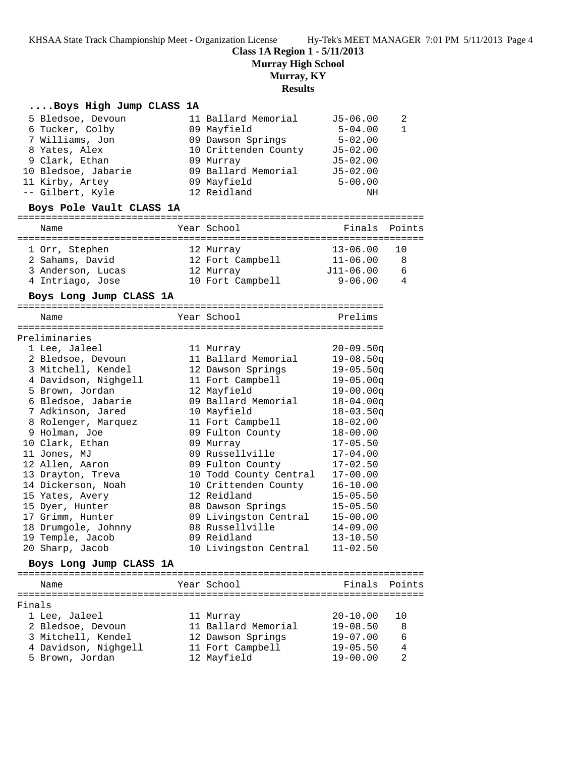**Class 1A Region 1 - 5/11/2013**

**Murray High School**

**Murray, KY**

## **Results**

### **....Boys High Jump CLASS 1A**

|        | 5 Bledsoe, Devoun<br>6 Tucker, Colby<br>7 Williams, Jon<br>8 Yates, Alex<br>9 Clark, Ethan<br>10 Bledsoe, Jabarie<br>11 Kirby, Artey<br>-- Gilbert, Kyle<br>Boys Pole Vault CLASS 1A | 11 Ballard Memorial<br>09 Mayfield<br>09 Dawson Springs<br>10 Crittenden County<br>09 Murray<br>09 Ballard Memorial<br>09 Mayfield<br>12 Reidland | $J5 - 06.00$<br>$5 - 04.00$<br>$5 - 02.00$<br>$J5 - 02.00$<br>$J5 - 02.00$<br>$J5 - 02.00$<br>$5 - 00.00$<br>NH | 2<br>$\mathbf{1}$ |
|--------|--------------------------------------------------------------------------------------------------------------------------------------------------------------------------------------|---------------------------------------------------------------------------------------------------------------------------------------------------|-----------------------------------------------------------------------------------------------------------------|-------------------|
|        | Name                                                                                                                                                                                 | Year School                                                                                                                                       | Finals                                                                                                          | Points            |
|        | 1 Orr, Stephen<br>2 Sahams, David<br>3 Anderson, Lucas<br>4 Intriago, Jose<br>Boys Long Jump CLASS 1A                                                                                | 12 Murray<br>12 Fort Campbell<br>12 Murray<br>10 Fort Campbell                                                                                    | $13 - 06.00$<br>$11 - 06.00$<br>J11-06.00<br>$9 - 06.00$                                                        | 10<br>8<br>6<br>4 |
|        | Name                                                                                                                                                                                 | Year School                                                                                                                                       | Prelims                                                                                                         |                   |
|        | Preliminaries                                                                                                                                                                        |                                                                                                                                                   |                                                                                                                 |                   |
|        | 1 Lee, Jaleel                                                                                                                                                                        | 11 Murray                                                                                                                                         | $20 - 09.50q$                                                                                                   |                   |
|        | 2 Bledsoe, Devoun                                                                                                                                                                    | 11 Ballard Memorial                                                                                                                               | $19 - 08.50q$                                                                                                   |                   |
|        | 3 Mitchell, Kendel                                                                                                                                                                   | 12 Dawson Springs                                                                                                                                 | $19 - 05.50q$                                                                                                   |                   |
|        | 4 Davidson, Nighgell                                                                                                                                                                 | 11 Fort Campbell                                                                                                                                  | $19 - 05.00q$                                                                                                   |                   |
|        | 5 Brown, Jordan                                                                                                                                                                      | 12 Mayfield                                                                                                                                       | $19 - 00.00q$                                                                                                   |                   |
|        | 6 Bledsoe, Jabarie                                                                                                                                                                   | 09 Ballard Memorial                                                                                                                               | $18 - 04.00q$                                                                                                   |                   |
|        | 7 Adkinson, Jared                                                                                                                                                                    | 10 Mayfield                                                                                                                                       | $18 - 03.50q$                                                                                                   |                   |
|        | 8 Rolenger, Marquez                                                                                                                                                                  | 11 Fort Campbell                                                                                                                                  | $18 - 02.00$                                                                                                    |                   |
|        | 9 Holman, Joe                                                                                                                                                                        | 09 Fulton County                                                                                                                                  | $18 - 00.00$                                                                                                    |                   |
|        | 10 Clark, Ethan                                                                                                                                                                      | 09 Murray                                                                                                                                         | $17 - 05.50$                                                                                                    |                   |
|        | 11 Jones, MJ                                                                                                                                                                         | 09 Russellville                                                                                                                                   | $17 - 04.00$                                                                                                    |                   |
|        | 12 Allen, Aaron                                                                                                                                                                      | 09 Fulton County                                                                                                                                  | $17 - 02.50$                                                                                                    |                   |
|        | 13 Drayton, Treva                                                                                                                                                                    | 10 Todd County Central                                                                                                                            | $17 - 00.00$                                                                                                    |                   |
|        | 14 Dickerson, Noah                                                                                                                                                                   | 10 Crittenden County                                                                                                                              | $16 - 10.00$                                                                                                    |                   |
|        | 15 Yates, Avery                                                                                                                                                                      | 12 Reidland                                                                                                                                       | $15 - 05.50$                                                                                                    |                   |
|        | 15 Dyer, Hunter                                                                                                                                                                      | 08 Dawson Springs                                                                                                                                 | $15 - 05.50$                                                                                                    |                   |
|        | 17 Grimm, Hunter                                                                                                                                                                     | 09 Livingston Central                                                                                                                             | $15 - 00.00$                                                                                                    |                   |
|        | 18 Drumgole, Johnny                                                                                                                                                                  | 08 Russellville                                                                                                                                   | $14 - 09.00$                                                                                                    |                   |
|        | 19 Temple, Jacob                                                                                                                                                                     | 09 Reidland                                                                                                                                       | $13 - 10.50$                                                                                                    |                   |
|        | 20 Sharp, Jacob                                                                                                                                                                      | 10 Livingston Central                                                                                                                             | $11 - 02.50$                                                                                                    |                   |
|        | Boys Long Jump CLASS 1A                                                                                                                                                              |                                                                                                                                                   |                                                                                                                 |                   |
|        | Name                                                                                                                                                                                 | Year School                                                                                                                                       | Finals                                                                                                          | Points            |
| Finals |                                                                                                                                                                                      |                                                                                                                                                   |                                                                                                                 |                   |
|        | 1 Lee, Jaleel                                                                                                                                                                        | 11 Murray                                                                                                                                         | $20 - 10.00$                                                                                                    | 10                |
|        | 2 Bledsoe, Devoun                                                                                                                                                                    | 11 Ballard Memorial                                                                                                                               | $19 - 08.50$                                                                                                    | 8                 |
|        | 3 Mitchell, Kendel                                                                                                                                                                   | 12 Dawson Springs                                                                                                                                 | $19 - 07.00$                                                                                                    | 6                 |
|        | 4 Davidson, Nighgell                                                                                                                                                                 | 11 Fort Campbell                                                                                                                                  | $19 - 05.50$                                                                                                    | 4                 |

5 Brown, Jordan 12 Mayfield 19-00.00 2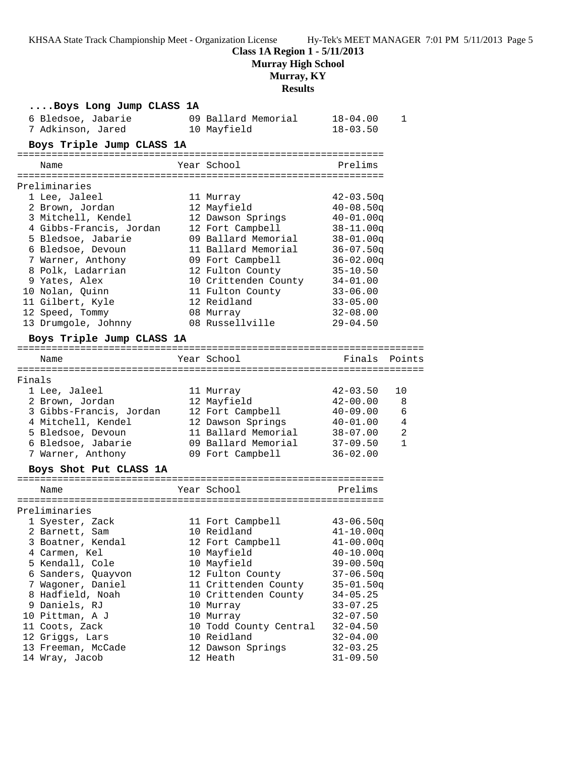**Class 1A Region 1 - 5/11/2013**

**Murray High School**

**Murray, KY**

**Results**

| Boys Long Jump CLASS 1A                 |                                    |                          |              |
|-----------------------------------------|------------------------------------|--------------------------|--------------|
| 6 Bledsoe, Jabarie<br>7 Adkinson, Jared | 09 Ballard Memorial<br>10 Mayfield | 18-04.00<br>$18 - 03.50$ | 1            |
| Boys Triple Jump CLASS 1A               |                                    |                          |              |
| Name                                    | Year School                        | Prelims                  |              |
| Preliminaries                           |                                    |                          |              |
| 1 Lee, Jaleel                           | 11 Murray                          | $42 - 03.50q$            |              |
| 2 Brown, Jordan                         | 12 Mayfield                        | $40 - 08.50q$            |              |
| 3 Mitchell, Kendel                      | 12 Dawson Springs                  | $40 - 01.00q$            |              |
| 4 Gibbs-Francis, Jordan                 | 12 Fort Campbell                   | $38 - 11.00q$            |              |
| 5 Bledsoe, Jabarie                      | 09 Ballard Memorial                | $38 - 01.00q$            |              |
| 6 Bledsoe, Devoun                       | 11 Ballard Memorial                | $36 - 07.50q$            |              |
| 7 Warner, Anthony                       | 09 Fort Campbell                   | $36 - 02.00q$            |              |
| 8 Polk, Ladarrian                       | 12 Fulton County                   | $35 - 10.50$             |              |
| 9 Yates, Alex                           | 10 Crittenden County               | $34 - 01.00$             |              |
| 10 Nolan, Quinn                         | 11 Fulton County                   | $33 - 06.00$             |              |
| 11 Gilbert, Kyle                        | 12 Reidland                        | $33 - 05.00$             |              |
| 12 Speed, Tommy                         | 08 Murray                          | $32 - 08.00$             |              |
| 13 Drumgole, Johnny                     | 08 Russellville                    | $29 - 04.50$             |              |
|                                         |                                    |                          |              |
| Boys Triple Jump CLASS 1A               |                                    |                          |              |
| Name                                    | Year School                        | Finals Points            |              |
| Finals                                  |                                    |                          |              |
| 1 Lee, Jaleel                           | 11 Murray                          | $42 - 03.50$             | 10           |
| 2 Brown, Jordan                         | 12 Mayfield                        | $42 - 00.00$             | 8            |
| 3 Gibbs-Francis, Jordan                 | 12 Fort Campbell                   | $40 - 09.00$             | 6            |
| 4 Mitchell, Kendel                      | 12 Dawson Springs                  | 40-01.00                 | 4            |
| 5 Bledsoe, Devoun                       | 11 Ballard Memorial                | $38 - 07.00$             | 2            |
| 6 Bledsoe, Jabarie                      | 09 Ballard Memorial                | $37 - 09.50$             | $\mathbf{1}$ |
| 7 Warner, Anthony                       | 09 Fort Campbell                   | $36 - 02.00$             |              |
| Boys Shot Put CLASS 1A                  |                                    |                          |              |
|                                         |                                    |                          |              |
| Name                                    | Year School                        | Prelims                  |              |
| Preliminaries                           |                                    |                          |              |
| 1 Syester, Zack                         | 11 Fort Campbell                   | $43 - 06.50q$            |              |
| 2 Barnett, Sam                          | 10 Reidland                        | $41 - 10.00q$            |              |
| 3 Boatner, Kendal                       | 12 Fort Campbell                   | $41 - 00.00q$            |              |
| 4 Carmen, Kel                           | 10 Mayfield                        | $40 - 10.00q$            |              |
| 5 Kendall, Cole                         | 10 Mayfield                        | $39 - 00.50q$            |              |
| 6 Sanders, Quayvon                      | 12 Fulton County                   | $37 - 06.50q$            |              |
| 7 Wagoner, Daniel                       | 11 Crittenden County               | $35 - 01.50q$            |              |
| 8 Hadfield, Noah                        | 10 Crittenden County               | $34 - 05.25$             |              |
| 9 Daniels, RJ                           | 10 Murray                          | $33 - 07.25$             |              |
| 10 Pittman, A J                         | 10 Murray                          | $32 - 07.50$             |              |
| 11 Coots, Zack                          | 10 Todd County Central             | $32 - 04.50$             |              |
| 12 Griggs, Lars                         | 10 Reidland                        | $32 - 04.00$             |              |
| 13 Freeman, McCade                      | 12 Dawson Springs                  | $32 - 03.25$             |              |
| 14 Wray, Jacob                          | 12 Heath                           | $31 - 09.50$             |              |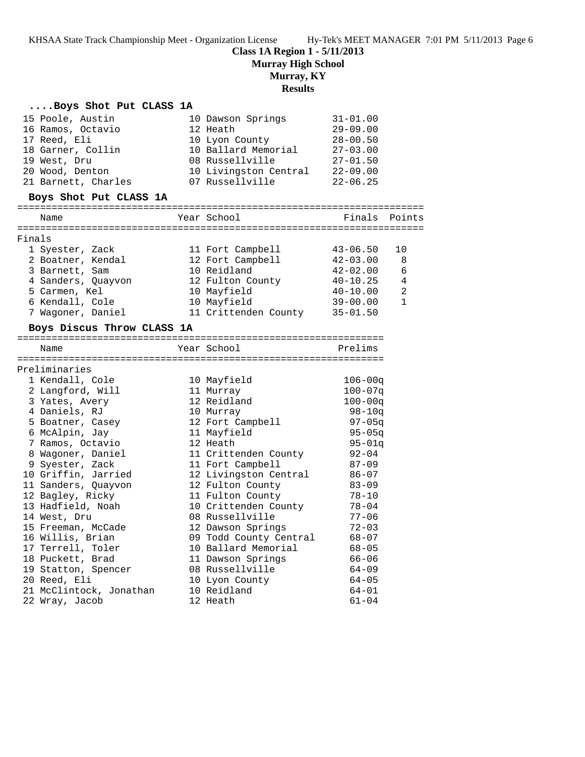**Class 1A Region 1 - 5/11/2013**

**Murray High School**

**Murray, KY**

#### **Results**

#### **....Boys Shot Put CLASS 1A**

| 15 Poole, Austin       | 10 Dawson Springs     | $31 - 01.00$  |  |
|------------------------|-----------------------|---------------|--|
| 16 Ramos, Octavio      | 12 Heath              | $29 - 09.00$  |  |
| 17 Reed, Eli           | 10 Lyon County        | $28 - 00.50$  |  |
| 18 Garner, Collin      | 10 Ballard Memorial   | $27 - 03.00$  |  |
| 19 West, Dru           | 08 Russellville       | $27 - 01.50$  |  |
| 20 Wood, Denton        | 10 Livingston Central | $22 - 09.00$  |  |
| 21 Barnett, Charles    | 07 Russellville       | $22 - 06.25$  |  |
| Boys Shot Put CLASS 1A |                       |               |  |
| Name                   | Year School           | Finals Points |  |
|                        |                       |               |  |

| Finals |                    |                      |              |                |
|--------|--------------------|----------------------|--------------|----------------|
|        | 1 Syester, Zack    | 11 Fort Campbell     | $43 - 06.50$ | 10             |
|        | 2 Boatner, Kendal  | 12 Fort Campbell     | $42 - 03.00$ | 8              |
|        | 3 Barnett, Sam     | 10 Reidland          | $42 - 02.00$ | 6              |
|        | 4 Sanders, Quayvon | 12 Fulton County     | $40 - 10.25$ | 4              |
|        | 5 Carmen, Kel      | 10 Mayfield          | $40 - 10.00$ | $\mathfrak{D}$ |
|        | 6 Kendall, Cole    | 10 Mayfield          | $39 - 00.00$ |                |
|        | 7 Wagoner, Daniel  | 11 Crittenden County | $35 - 01.50$ |                |

#### **Boys Discus Throw CLASS 1A**

| Name                    | Year School            | Prelims     |
|-------------------------|------------------------|-------------|
|                         |                        |             |
| Preliminaries           |                        |             |
| 1 Kendall, Cole         | 10 Mayfield            | $106 - 00q$ |
| 2 Langford, Will        | 11 Murray              | $100 - 07q$ |
| 3 Yates, Avery          | 12 Reidland            | $100 - 00q$ |
| 4 Daniels, RJ           | 10 Murray              | $98 - 10q$  |
| 5 Boatner, Casey        | 12 Fort Campbell       | $97 - 05q$  |
| 6 McAlpin, Jay          | 11 Mayfield            | $95 - 05q$  |
| 7 Ramos, Octavio        | 12 Heath               | $95 - 01q$  |
| 8 Wagoner, Daniel       | 11 Crittenden County   | $92 - 04$   |
| 9 Syester, Zack         | 11 Fort Campbell       | $87 - 09$   |
| 10 Griffin, Jarried     | 12 Livingston Central  | $86 - 07$   |
| 11 Sanders, Quayvon     | 12 Fulton County       | $83 - 09$   |
| 12 Bagley, Ricky        | 11 Fulton County       | $78 - 10$   |
| 13 Hadfield, Noah       | 10 Crittenden County   | $78 - 04$   |
| 14 West, Dru            | 08 Russellville        | $77 - 06$   |
| 15 Freeman, McCade      | 12 Dawson Springs      | $72 - 03$   |
| 16 Willis, Brian        | 09 Todd County Central | $68 - 07$   |
| 17 Terrell, Toler       | 10 Ballard Memorial    | $68 - 05$   |
| 18 Puckett, Brad        | 11 Dawson Springs      | $66 - 06$   |
| 19 Statton, Spencer     | 08 Russellville        | $64 - 09$   |
| 20 Reed, Eli            | 10 Lyon County         | $64 - 05$   |
| 21 McClintock, Jonathan | 10 Reidland            | $64 - 01$   |
| 22 Wray, Jacob          | 12 Heath               | $61 - 04$   |